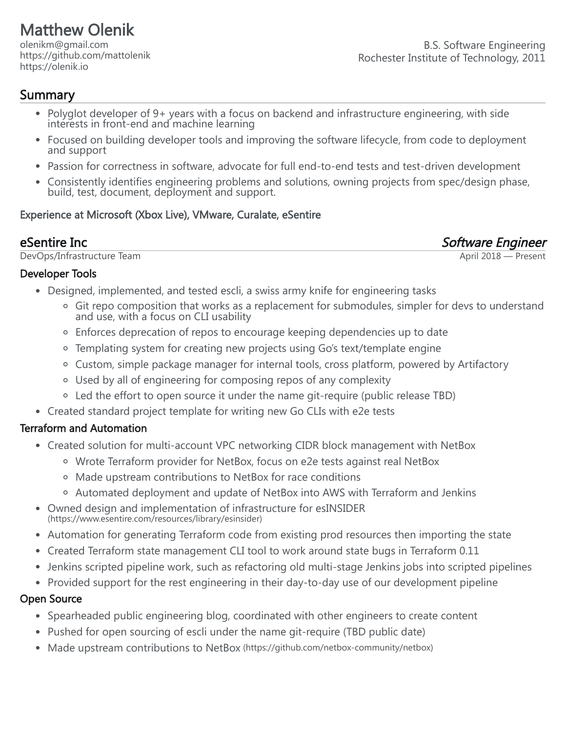# Matthew Olenik

olenikm@gmail.com <https://github.com/mattolenik> [https://olenik.io](https://olenik.io/)

B.S. Software Engineering Rochester Institute of Technology, 2011

### Summary

- Polyglot developer of 9+ years with a focus on backend and infrastructure engineering, with side interests in front-end and machine learning
- Focused on building developer tools and improving the software lifecycle, from code to deployment and support
- Passion for correctness in software, advocate for full end-to-end tests and test-driven development
- Consistently identifies engineering problems and solutions, owning projects from spec/design phase, build, test, document, deployment and support.

#### Experience at Microsoft (Xbox Live), VMware, Curalate, eSentire

| eSentire Inc               | <b>Software Engineer</b> |
|----------------------------|--------------------------|
| DevOps/Infrastructure Team | April 2018 — Present     |

#### Developer Tools

- Designed, implemented, and tested escli, a swiss army knife for engineering tasks
	- <sup>o</sup> Git repo composition that works as a replacement for submodules, simpler for devs to understand and use, with a focus on CLI usability
	- Enforces deprecation of repos to encourage keeping dependencies up to date
	- Templating system for creating new projects using Go's text/template engine
	- <sup>o</sup> Custom, simple package manager for internal tools, cross platform, powered by Artifactory
	- Used by all of engineering for composing repos of any complexity
	- Led the effort to open source it under the name git-require (public release TBD)
- Created standard project template for writing new Go CLIs with e2e tests

#### Terraform and Automation

- Created solution for multi-account VPC networking CIDR block management with NetBox
	- Wrote Terraform provider for NetBox, focus on e2e tests against real NetBox
	- Made upstream contributions to NetBox for race conditions
	- Automated deployment and update of NetBox into AWS with Terraform and Jenkins
- Owned design and implementation of infrastructure for esINSIDER [\(https://www.esentire.com/resources/library/esinsider\)](https://www.esentire.com/resources/library/esinsider)
- Automation for generating Terraform code from existing prod resources then importing the state
- Created Terraform state management CLI tool to work around state bugs in Terraform 0.11
- Jenkins scripted pipeline work, such as refactoring old multi-stage Jenkins jobs into scripted pipelines
- Provided support for the rest engineering in their day-to-day use of our development pipeline

#### Open Source

- Spearheaded public engineering blog, coordinated with other engineers to create content
- Pushed for open sourcing of escli under the name git-require (TBD public date)
- Made upstream contributions to NetBox [\(https://github.com/netbox-community/netbox\)](https://github.com/netbox-community/netbox)